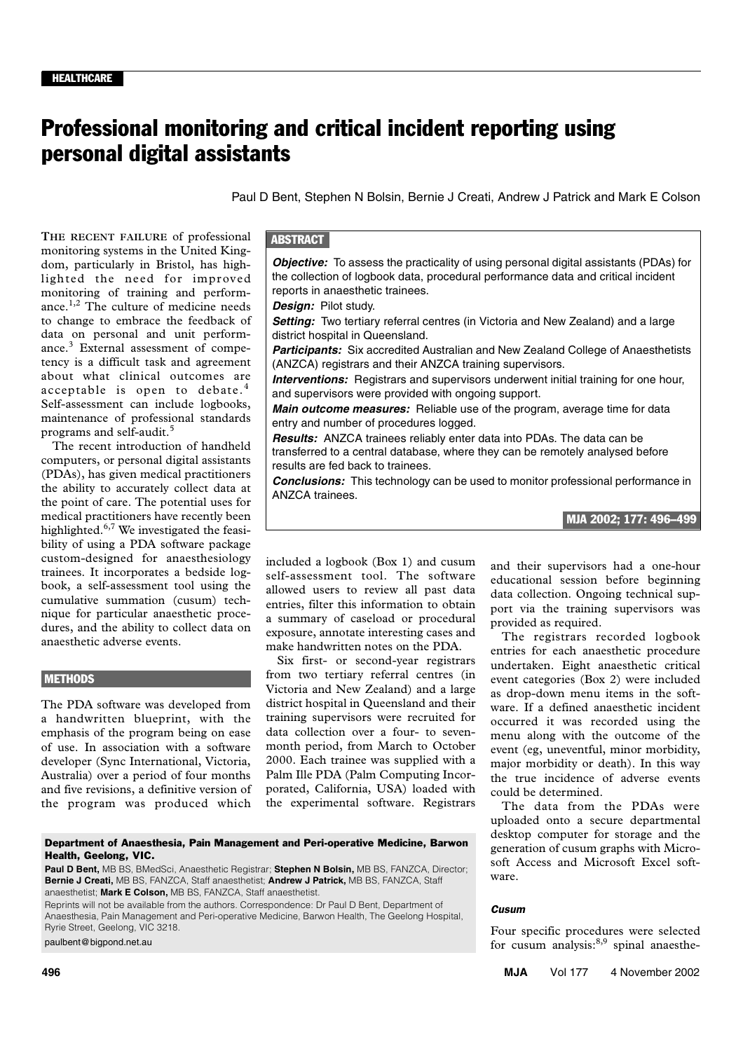# Professional monitoring and critical incident reporting using personal digital assistants

Paul D Bent, Stephen N Bolsin, Bernie J Creati, Andrew J Patrick and Mark E Colson

dom, particularly in Bristol, has highlighted the need for improved monitoring of training and perform- $\frac{1}{2}$   $\pi$  1.  $\frac{1}{2}$   $\pi$  1. ance.<sup>1,2</sup> The culture of medicine needs to change to embrace the feedback of **THE RECENT FAILURE** of professional monitoring systems in the United Kingdata on personal and unit performance.<sup>3</sup> External assessment of competency is a difficult task and agreement about what clinical outcomes are acceptable is open to debate.<sup>4</sup> Self-assessment can include logbooks, maintenance of professional standards programs and self-audit.<sup>5</sup>

The recent introduction of handheld computers, or personal digital assistants (PDAs), has given medical practitioners the ability to accurately collect data at the point of care. The potential uses for medical practitioners have recently been highlighted.<sup>6,7</sup> We investigated the feasibility of using a PDA software package custom-designed for anaesthesiology trainees. It incorporates a bedside logbook, a self-assessment tool using the cumulative summation (cusum) technique for particular anaesthetic procedures, and the ability to collect data on anaesthetic adverse events.

#### **METHODS**

The PDA software was developed from a handwritten blueprint, with the emphasis of the program being on ease of use. In association with a software developer (Sync International, Victoria, Australia) over a period of four months and five revisions, a definitive version of the program was produced which

# **ABSTRACT**

*Objective:* To assess the practicality of using personal digital assistants (PDAs) for the collection of logbook data, procedural performance data and critical incident reports in anaesthetic trainees.

*Design:* Pilot study.

Setting: Two tertiary referral centres (in Victoria and New Zealand) and a large district hospital in Queensland.

**Participants:** Six accredited Australian and New Zealand College of Anaesthetists (ANZCA) registrars and their ANZCA training supervisors.

**Interventions:** Registrars and supervisors underwent initial training for one hour, and supervisors were provided with ongoing support.

*Main outcome measures:* Reliable use of the program, average time for data entry and number of procedures logged.

*Results:* ANZCA trainees reliably enter data into PDAs. The data can be transferred to a central database, where they can be remotely analysed before results are fed back to trainees.

*Conclusions:* This technology can be used to monitor professional performance in ANZCA trainees.



included a logbook (Box 1) and cusum self-assessment tool. The software allowed users to review all past data entries, filter this information to obtain a summary of caseload or procedural exposure, annotate interesting cases and make handwritten notes on the PDA.

Six first- or second-year registrars from two tertiary referral centres (in Victoria and New Zealand) and a large district hospital in Queensland and their training supervisors were recruited for data collection over a four- to sevenmonth period, from March to October 2000. Each trainee was supplied with a Palm Ille PDA (Palm Computing Incorporated, California, USA) loaded with the experimental software. Registrars and their supervisors had a one-hour educational session before beginning data collection. Ongoing technical support via the training supervisors was provided as required.

The registrars recorded logbook entries for each anaesthetic procedure undertaken. Eight anaesthetic critical event categories (Box 2) were included as drop-down menu items in the software. If a defined anaesthetic incident occurred it was recorded using the menu along with the outcome of the event (eg, uneventful, minor morbidity, major morbidity or death). In this way the true incidence of adverse events could be determined.

The data from the PDAs were uploaded onto a secure departmental desktop computer for storage and the generation of cusum graphs with Microsoft Access and Microsoft Excel software.

#### *Cusum*

Four specific procedures were selected for cusum analysis: $8,9$  spinal anaesthe-

**496 MJA** Vol 177 4 November 2002

Department of Anaesthesia, Pain Management and Peri-operative Medicine, Barwon Health, Geelong, VIC.

**Paul D Bent,** MB BS, BMedSci, Anaesthetic Registrar; **Stephen N Bolsin,** MB BS, FANZCA, Director; **Bernie J Creati,** MB BS, FANZCA, Staff anaesthetist; **Andrew J Patrick,** MB BS, FANZCA, Staff anaesthetist; **Mark E Colson,** MB BS, FANZCA, Staff anaesthetist.

Reprints will not be available from the authors. Correspondence: Dr Paul D Bent, Department of Anaesthesia, Pain Management and Peri-operative Medicine, Barwon Health, The Geelong Hospital, Ryrie Street, Geelong, VIC 3218.

paulbent@bigpond.net.au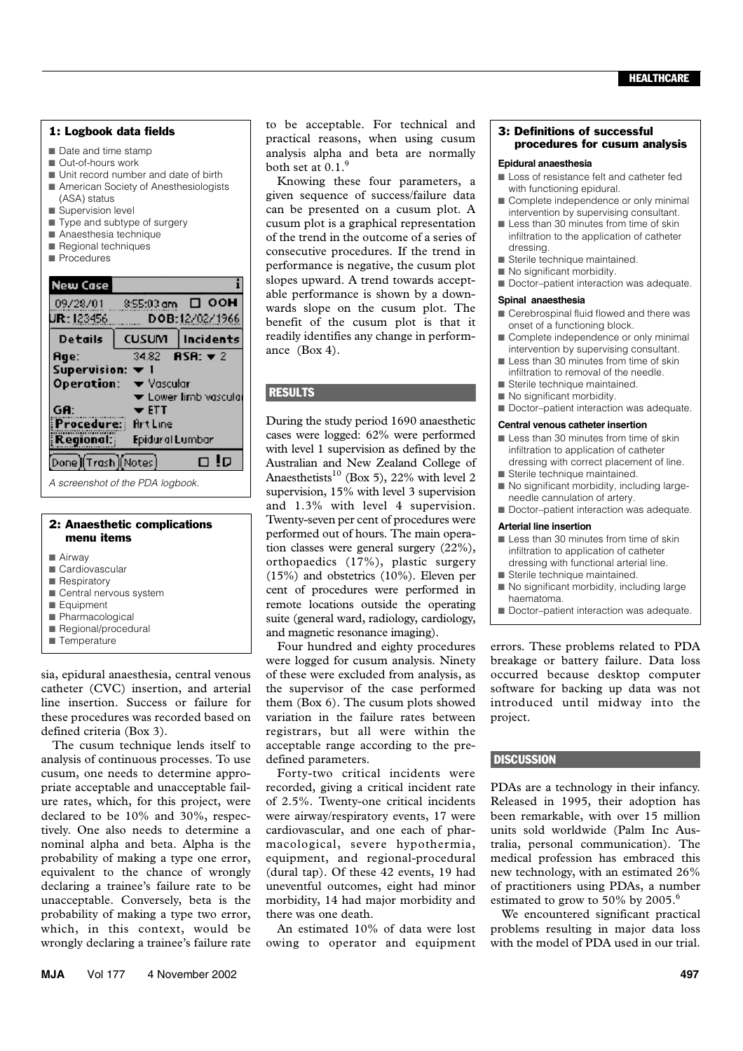#### 1: Logbook data fields

- Date and time stamp
- Out-of-hours work
- Unit record number and date of birth
- American Society of Anesthesiologists
- (ASA) status ■ Supervision level
- Type and subtype of surgery
- Anaesthesia technique
- Regional techniques
- Procedures



*A screenshot of the PDA logbook.*

#### 2: Anaesthetic complications menu items

- Airway
- Cardiovascular
- Respiratory
- Central nervous system
- Equipment
- Pharmacological ■ Regional/procedural
- Temperature
- sia, epidural anaesthesia, central venous catheter (CVC) insertion, and arterial line insertion. Success or failure for these procedures was recorded based on defined criteria (Box 3).

The cusum technique lends itself to analysis of continuous processes. To use cusum, one needs to determine appropriate acceptable and unacceptable failure rates, which, for this project, were declared to be 10% and 30%, respectively. One also needs to determine a nominal alpha and beta. Alpha is the probability of making a type one error, equivalent to the chance of wrongly declaring a trainee's failure rate to be unacceptable. Conversely, beta is the probability of making a type two error, which, in this context, would be wrongly declaring a trainee's failure rate to be acceptable. For technical and practical reasons, when using cusum analysis alpha and beta are normally both set at  $0.1$ .<sup>9</sup>

Knowing these four parameters, a given sequence of success/failure data can be presented on a cusum plot. A cusum plot is a graphical representation of the trend in the outcome of a series of consecutive procedures. If the trend in performance is negative, the cusum plot slopes upward. A trend towards acceptable performance is shown by a downwards slope on the cusum plot. The benefit of the cusum plot is that it readily identifies any change in performance (Box 4).

## **RESULTS**

During the study period 1690 anaesthetic cases were logged: 62% were performed with level 1 supervision as defined by the Australian and New Zealand College of Anaesthetists<sup>10</sup> (Box 5), 22% with level 2 supervision, 15% with level 3 supervision and 1.3% with level 4 supervision. Twenty-seven per cent of procedures were performed out of hours. The main operation classes were general surgery (22%), orthopaedics (17%), plastic surgery (15%) and obstetrics (10%). Eleven per cent of procedures were performed in remote locations outside the operating suite (general ward, radiology, cardiology, and magnetic resonance imaging).

Four hundred and eighty procedures were logged for cusum analysis. Ninety of these were excluded from analysis, as the supervisor of the case performed them (Box 6). The cusum plots showed variation in the failure rates between registrars, but all were within the acceptable range according to the predefined parameters.

Forty-two critical incidents were recorded, giving a critical incident rate of 2.5%. Twenty-one critical incidents were airway/respiratory events, 17 were cardiovascular, and one each of pharmacological, severe hypothermia, equipment, and regional-procedural (dural tap). Of these 42 events, 19 had uneventful outcomes, eight had minor morbidity, 14 had major morbidity and there was one death.

An estimated 10% of data were lost owing to operator and equipment

### 3: Definitions of successful procedures for cusum analysis

#### **Epidural anaesthesia**

- Loss of resistance felt and catheter fed with functioning epidural.
- Complete independence or only minimal intervention by supervising consultant.
- Less than 30 minutes from time of skin infiltration to the application of catheter dressing.
- Sterile technique maintained.
- No significant morbidity.
- Doctor-patient interaction was adequate.

#### **Spinal anaesthesia**

- Cerebrospinal fluid flowed and there was onset of a functioning block.
- Complete independence or only minimal intervention by supervising consultant.
- Less than 30 minutes from time of skin infiltration to removal of the needle.
- Sterile technique maintained.
- No significant morbidity.
- Doctor–patient interaction was adequate.

#### **Central venous catheter insertion**

- Less than 30 minutes from time of skin infiltration to application of catheter dressing with correct placement of line.
- Sterile technique maintained.
- No significant morbidity, including largeneedle cannulation of artery.
- Doctor–patient interaction was adequate.

#### **Arterial line insertion**

- Less than 30 minutes from time of skin infiltration to application of catheter dressing with functional arterial line.
- Sterile technique maintained.
- No significant morbidity, including large haematoma.
- Doctor-patient interaction was adequate.

errors. These problems related to PDA breakage or battery failure. Data loss occurred because desktop computer software for backing up data was not introduced until midway into the project.

# **DISCUSSION**

PDAs are a technology in their infancy. Released in 1995, their adoption has been remarkable, with over 15 million units sold worldwide (Palm Inc Australia, personal communication). The medical profession has embraced this new technology, with an estimated 26% of practitioners using PDAs, a number estimated to grow to 50% by 2005.<sup>6</sup>

We encountered significant practical problems resulting in major data loss with the model of PDA used in our trial.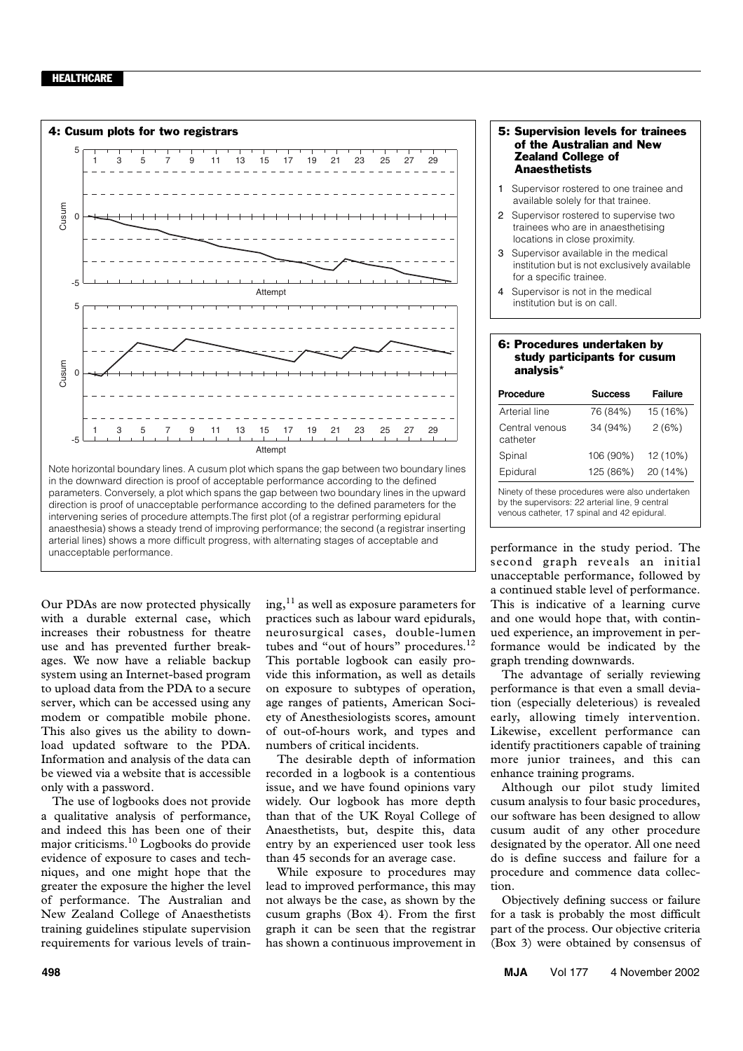#### **HEALTHCARE**



intervening series of procedure attempts.The first plot (of a registrar performing epidural anaesthesia) shows a steady trend of improving performance; the second (a registrar inserting arterial lines) shows a more difficult progress, with alternating stages of acceptable and unacceptable performance.

Our PDAs are now protected physically with a durable external case, which increases their robustness for theatre use and has prevented further breakages. We now have a reliable backup system using an Internet-based program to upload data from the PDA to a secure server, which can be accessed using any modem or compatible mobile phone. This also gives us the ability to download updated software to the PDA. Information and analysis of the data can be viewed via a website that is accessible only with a password.

The use of logbooks does not provide a qualitative analysis of performance, and indeed this has been one of their major criticisms.10 Logbooks do provide evidence of exposure to cases and techniques, and one might hope that the greater the exposure the higher the level of performance. The Australian and New Zealand College of Anaesthetists training guidelines stipulate supervision requirements for various levels of train $ing,$ <sup>11</sup> as well as exposure parameters for practices such as labour ward epidurals, neurosurgical cases, double-lumen tubes and "out of hours" procedures.<sup>12</sup> This portable logbook can easily provide this information, as well as details on exposure to subtypes of operation, age ranges of patients, American Society of Anesthesiologists scores, amount of out-of-hours work, and types and numbers of critical incidents.

The desirable depth of information recorded in a logbook is a contentious issue, and we have found opinions vary widely. Our logbook has more depth than that of the UK Royal College of Anaesthetists, but, despite this, data entry by an experienced user took less than 45 seconds for an average case.

While exposure to procedures may lead to improved performance, this may not always be the case, as shown by the cusum graphs (Box 4). From the first graph it can be seen that the registrar has shown a continuous improvement in

#### 5: Supervision levels for trainees of the Australian and New Zealand College of **Anaesthetists**

- Supervisor rostered to one trainee and available solely for that trainee.
- 2 Supervisor rostered to supervise two trainees who are in anaesthetising locations in close proximity.
- 3 Supervisor available in the medical institution but is not exclusively available for a specific trainee.
- Supervisor is not in the medical institution but is on call.

#### 6: Procedures undertaken by study participants for cusum analysis\*

| Procedure                  | <b>Success</b> | <b>Failure</b> |
|----------------------------|----------------|----------------|
| Arterial line              | 76 (84%)       | 15 (16%)       |
| Central venous<br>catheter | 34 (94%)       | 2(6%)          |
| Spinal                     | 106 (90%)      | 12 (10%)       |
| Epidural                   | 125 (86%)      | 20 (14%)       |

Ninety of these procedures were also undertaken by the supervisors: 22 arterial line, 9 central venous catheter, 17 spinal and 42 epidural.

performance in the study period. The second graph reveals an initial unacceptable performance, followed by a continued stable level of performance. This is indicative of a learning curve and one would hope that, with continued experience, an improvement in performance would be indicated by the graph trending downwards.

The advantage of serially reviewing performance is that even a small deviation (especially deleterious) is revealed early, allowing timely intervention. Likewise, excellent performance can identify practitioners capable of training more junior trainees, and this can enhance training programs.

Although our pilot study limited cusum analysis to four basic procedures, our software has been designed to allow cusum audit of any other procedure designated by the operator. All one need do is define success and failure for a procedure and commence data collection.

Objectively defining success or failure for a task is probably the most difficult part of the process. Our objective criteria (Box 3) were obtained by consensus of